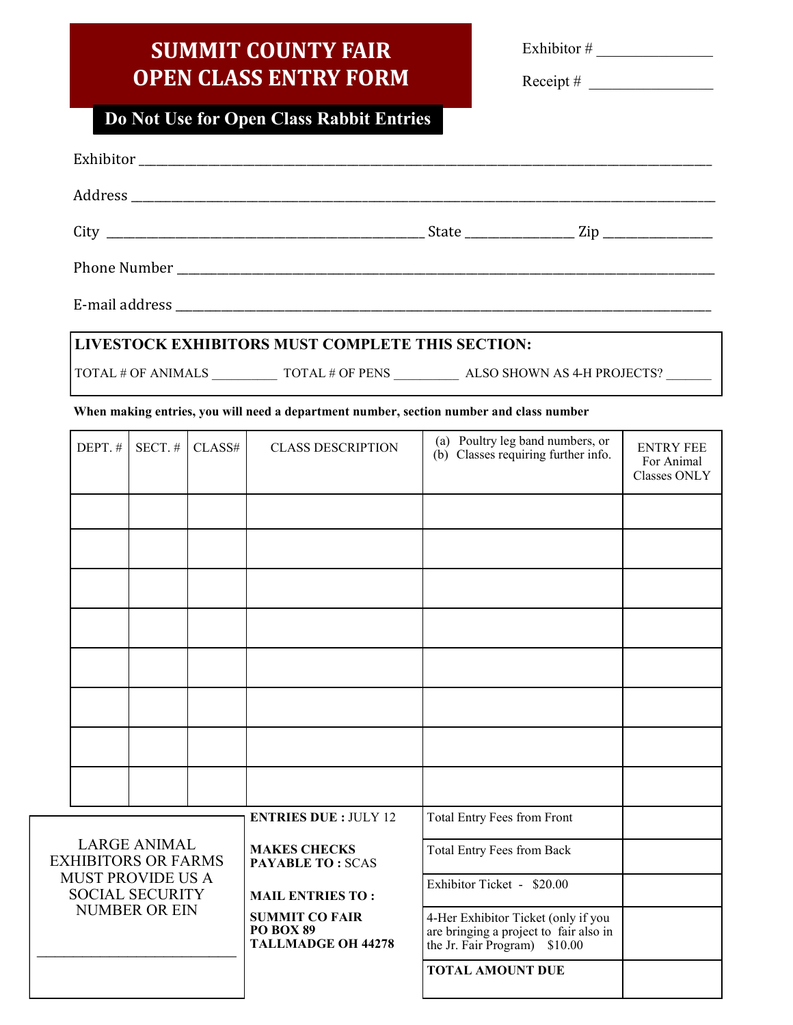## **SUMMIT COUNTY FAIR OPEN CLASS ENTRY FORM**

Exhibitor # \_\_\_\_\_\_\_\_\_\_\_\_\_\_\_

 $Receipt \#$ 

## **Do Not Use for Open Class Rabbit Entries**

|                                                                            |                     |        | LIVESTOCK EXHIBITORS MUST COMPLETE THIS SECTION:                |                                                                                                                |                                                       |  |  |  |
|----------------------------------------------------------------------------|---------------------|--------|-----------------------------------------------------------------|----------------------------------------------------------------------------------------------------------------|-------------------------------------------------------|--|--|--|
|                                                                            |                     |        |                                                                 |                                                                                                                |                                                       |  |  |  |
|                                                                            |                     |        |                                                                 | When making entries, you will need a department number, section number and class number                        |                                                       |  |  |  |
| DEPT.#                                                                     | $SECT.$ #           | CLASS# | <b>CLASS DESCRIPTION</b>                                        | (a) Poultry leg band numbers, or<br>(b) Classes requiring further info.                                        | <b>ENTRY FEE</b><br>For Animal<br><b>Classes ONLY</b> |  |  |  |
|                                                                            |                     |        |                                                                 |                                                                                                                |                                                       |  |  |  |
|                                                                            |                     |        |                                                                 |                                                                                                                |                                                       |  |  |  |
|                                                                            |                     |        |                                                                 |                                                                                                                |                                                       |  |  |  |
|                                                                            |                     |        |                                                                 |                                                                                                                |                                                       |  |  |  |
|                                                                            |                     |        |                                                                 |                                                                                                                |                                                       |  |  |  |
|                                                                            |                     |        |                                                                 |                                                                                                                |                                                       |  |  |  |
|                                                                            |                     |        |                                                                 |                                                                                                                |                                                       |  |  |  |
|                                                                            |                     |        |                                                                 |                                                                                                                |                                                       |  |  |  |
|                                                                            |                     |        | <b>ENTRIES DUE: JULY 12</b>                                     | Total Entry Fees from Front                                                                                    |                                                       |  |  |  |
| <b>EXHIBITORS OR FARMS</b>                                                 | <b>LARGE ANIMAL</b> |        | <b>MAKES CHECKS</b><br><b>PAYABLE TO: SCAS</b>                  | Total Entry Fees from Back                                                                                     |                                                       |  |  |  |
| <b>MUST PROVIDE US A</b><br><b>SOCIAL SECURITY</b><br><b>NUMBER OR EIN</b> |                     |        | <b>MAIL ENTRIES TO:</b>                                         | Exhibitor Ticket - \$20.00                                                                                     |                                                       |  |  |  |
|                                                                            |                     |        | <b>SUMMIT CO FAIR</b><br>PO BOX 89<br><b>TALLMADGE OH 44278</b> | 4-Her Exhibitor Ticket (only if you<br>are bringing a project to fair also in<br>the Jr. Fair Program) \$10.00 |                                                       |  |  |  |
|                                                                            |                     |        |                                                                 | <b>TOTAL AMOUNT DUE</b>                                                                                        |                                                       |  |  |  |